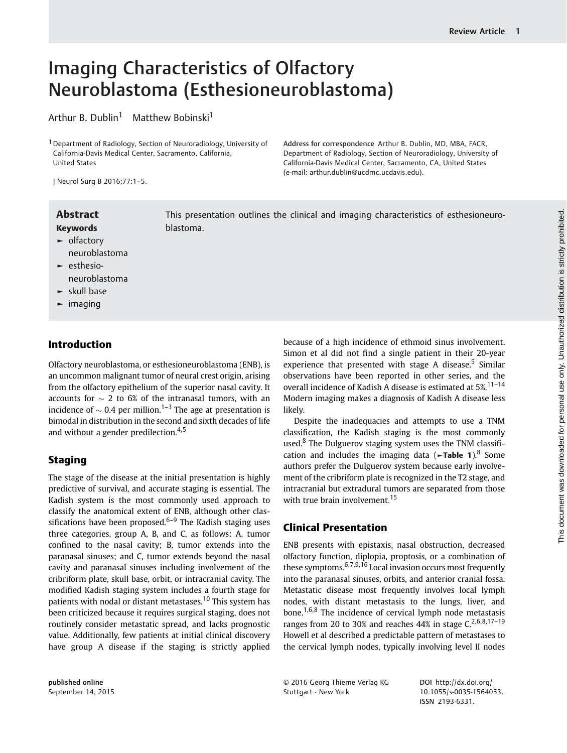# Imaging Characteristics of Olfactory Neuroblastoma (Esthesioneuroblastoma)

Arthur B. Dublin<sup>1</sup> Matthew Bobinski<sup>1</sup>

<sup>1</sup> Department of Radiology, Section of Neuroradiology, University of California-Davis Medical Center, Sacramento, California, United States

Address for correspondence Arthur B. Dublin, MD, MBA, FACR, Department of Radiology, Section of Neuroradiology, University of California-Davis Medical Center, Sacramento, CA, United States (e-mail: [arthur.dublin@ucdmc.ucdavis.edu](mailto:arthur.dublin@ucdmc.ucdavis.edu)).

J Neurol Surg B 2016;77:1–5.

Keywords

- ► olfactory neuroblastoma
- ► esthesioneuroblastoma
- ► skull base
- ► imaging

## Introduction

Olfactory neuroblastoma, or esthesioneuroblastoma (ENB), is an uncommon malignant tumor of neural crest origin, arising from the olfactory epithelium of the superior nasal cavity. It accounts for  $\sim$  2 to 6% of the intranasal tumors, with an incidence of  $\sim 0.4$  per million.<sup>1–3</sup> The age at presentation is bimodal in distribution in the second and sixth decades of life and without a gender predilection.<sup>4,5</sup>

## Staging

The stage of the disease at the initial presentation is highly predictive of survival, and accurate staging is essential. The Kadish system is the most commonly used approach to classify the anatomical extent of ENB, although other classifications have been proposed. $6-9$  The Kadish staging uses three categories, group A, B, and C, as follows: A, tumor confined to the nasal cavity; B, tumor extends into the paranasal sinuses; and C, tumor extends beyond the nasal cavity and paranasal sinuses including involvement of the cribriform plate, skull base, orbit, or intracranial cavity. The modified Kadish staging system includes a fourth stage for patients with nodal or distant metastases.<sup>10</sup> This system has been criticized because it requires surgical staging, does not routinely consider metastatic spread, and lacks prognostic value. Additionally, few patients at initial clinical discovery have group A disease if the staging is strictly applied

Abstract This presentation outlines the clinical and imaging characteristics of esthesioneuroblastoma.

> because of a high incidence of ethmoid sinus involvement. Simon et al did not find a single patient in their 20-year experience that presented with stage A disease.<sup>5</sup> Similar observations have been reported in other series, and the overall incidence of Kadish A disease is estimated at 5%.<sup>11-14</sup> Modern imaging makes a diagnosis of Kadish A disease less likely.

> Despite the inadequacies and attempts to use a TNM classification, the Kadish staging is the most commonly used.<sup>8</sup> The Dulguerov staging system uses the TNM classification and includes the imaging data ( $\blacktriangleright$ Table 1).<sup>8</sup> Some authors prefer the Dulguerov system because early involvement of the cribriform plate is recognized in the T2 stage, and intracranial but extradural tumors are separated from those with true brain involvement.<sup>15</sup>

## Clinical Presentation

ENB presents with epistaxis, nasal obstruction, decreased olfactory function, diplopia, proptosis, or a combination of these symptoms.  $6,7,9,16$  Local invasion occurs most frequently into the paranasal sinuses, orbits, and anterior cranial fossa. Metastatic disease most frequently involves local lymph nodes, with distant metastasis to the lungs, liver, and bone.<sup>1,6,8</sup> The incidence of cervical lymph node metastasis ranges from 20 to 30% and reaches  $44\%$  in stage C,  $2,6,8,17-19$ Howell et al described a predictable pattern of metastases to the cervical lymph nodes, typically involving level II nodes

© 2016 Georg Thieme Verlag KG Stuttgart · New York

DOI [http://dx.doi.org/](http://dx.doi.org/10.1055/s-0035-1564053) [10.1055/s-0035-1564053.](http://dx.doi.org/10.1055/s-0035-1564053) ISSN 2193-6331.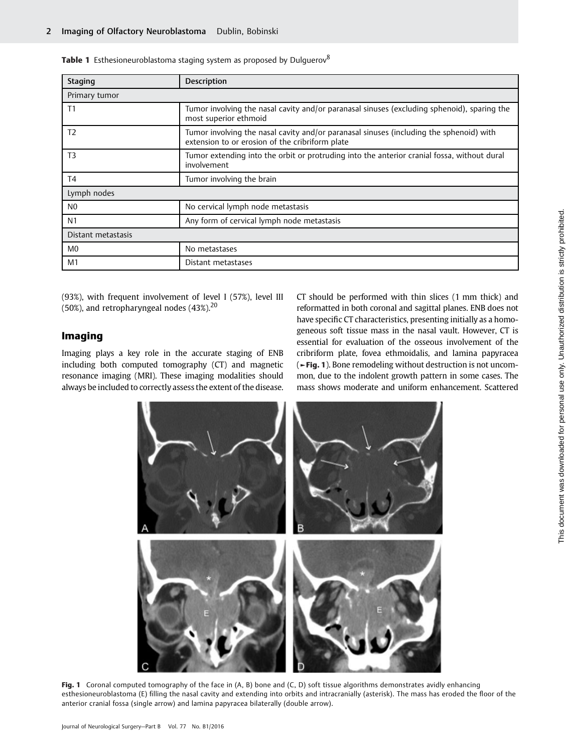| <b>Staging</b>     | <b>Description</b>                                                                                                                         |
|--------------------|--------------------------------------------------------------------------------------------------------------------------------------------|
| Primary tumor      |                                                                                                                                            |
| T1                 | Tumor involving the nasal cavity and/or paranasal sinuses (excluding sphenoid), sparing the<br>most superior ethmoid                       |
| T <sub>2</sub>     | Tumor involving the nasal cavity and/or paranasal sinuses (including the sphenoid) with<br>extension to or erosion of the cribriform plate |
| T <sub>3</sub>     | Tumor extending into the orbit or protruding into the anterior cranial fossa, without dural<br>involvement                                 |
| T4                 | Tumor involving the brain                                                                                                                  |
| Lymph nodes        |                                                                                                                                            |
| N <sub>0</sub>     | No cervical lymph node metastasis                                                                                                          |
| N <sub>1</sub>     | Any form of cervical lymph node metastasis                                                                                                 |
| Distant metastasis |                                                                                                                                            |
| M <sub>0</sub>     | No metastases                                                                                                                              |
| M <sub>1</sub>     | Distant metastases                                                                                                                         |

Table 1 Esthesioneuroblastoma staging system as proposed by Dulquerov<sup>8</sup>

(93%), with frequent involvement of level I (57%), level III (50%), and retropharyngeal nodes  $(43\%)^{20}$ 

#### Imaging

Imaging plays a key role in the accurate staging of ENB including both computed tomography (CT) and magnetic resonance imaging (MRI). These imaging modalities should always be included to correctly assess the extent of the disease. CT should be performed with thin slices (1 mm thick) and reformatted in both coronal and sagittal planes. ENB does not have specific CT characteristics, presenting initially as a homogeneous soft tissue mass in the nasal vault. However, CT is essential for evaluation of the osseous involvement of the cribriform plate, fovea ethmoidalis, and lamina papyracea (►Fig. 1). Bone remodeling without destruction is not uncommon, due to the indolent growth pattern in some cases. The mass shows moderate and uniform enhancement. Scattered



Fig. 1 Coronal computed tomography of the face in  $(A, B)$  bone and  $(C, D)$  soft tissue algorithms demonstrates avidly enhancing esthesioneuroblastoma (E) filling the nasal cavity and extending into orbits and intracranially (asterisk). The mass has eroded the floor of the anterior cranial fossa (single arrow) and lamina papyracea bilaterally (double arrow).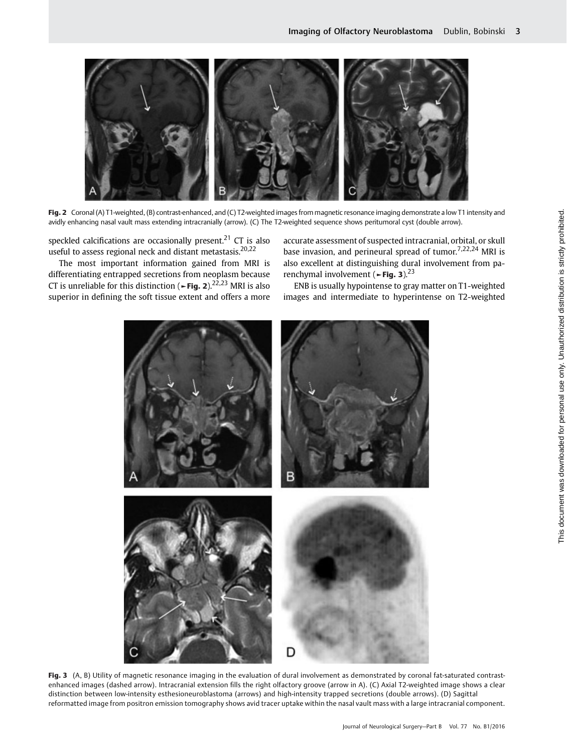

Fig. 2 Coronal (A) T1-weighted, (B) contrast-enhanced, and (C) T2-weighted images from magnetic resonance imaging demonstrate a low T1 intensity and avidly enhancing nasal vault mass extending intracranially (arrow). (C) The T2-weighted sequence shows peritumoral cyst (double arrow).

speckled calcifications are occasionally present.<sup>21</sup> CT is also useful to assess regional neck and distant metastasis.<sup>20,22</sup>

The most important information gained from MRI is differentiating entrapped secretions from neoplasm because CT is unreliable for this distinction ( $\sim$ Fig. 2).<sup>22,23</sup> MRI is also superior in defining the soft tissue extent and offers a more accurate assessment of suspected intracranial, orbital, or skull base invasion, and perineural spread of tumor.<sup>7,22,24</sup> MRI is also excellent at distinguishing dural involvement from parenchymal involvement ( $\blacktriangleright$ Fig. 3).<sup>23</sup>

ENB is usually hypointense to gray matter on T1-weighted images and intermediate to hyperintense on T2-weighted



Fig. 3 (A, B) Utility of magnetic resonance imaging in the evaluation of dural involvement as demonstrated by coronal fat-saturated contrastenhanced images (dashed arrow). Intracranial extension fills the right olfactory groove (arrow in A). (C) Axial T2-weighted image shows a clear distinction between low-intensity esthesioneuroblastoma (arrows) and high-intensity trapped secretions (double arrows). (D) Sagittal reformatted image from positron emission tomography shows avid tracer uptake within the nasal vault mass with a large intracranial component.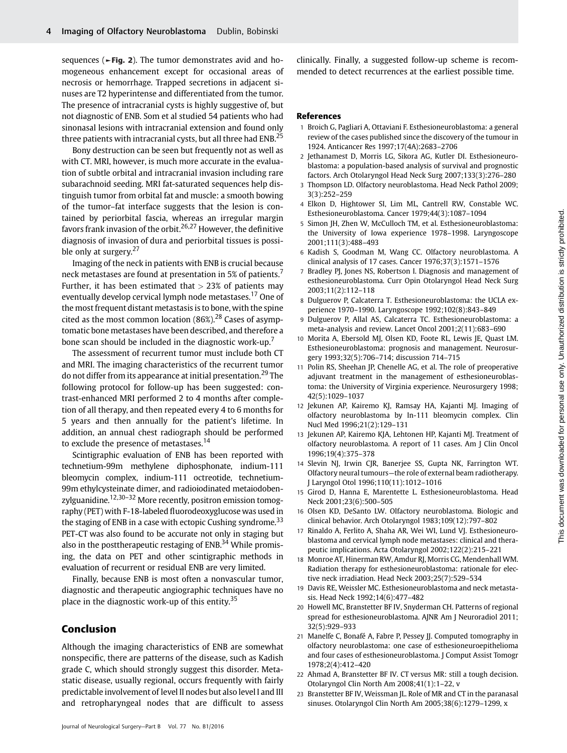sequences (►Fig. 2). The tumor demonstrates avid and homogeneous enhancement except for occasional areas of necrosis or hemorrhage. Trapped secretions in adjacent sinuses are T2 hyperintense and differentiated from the tumor. The presence of intracranial cysts is highly suggestive of, but not diagnostic of ENB. Som et al studied 54 patients who had sinonasal lesions with intracranial extension and found only three patients with intracranial cysts, but all three had ENB.<sup>25</sup>

Bony destruction can be seen but frequently not as well as with CT. MRI, however, is much more accurate in the evaluation of subtle orbital and intracranial invasion including rare subarachnoid seeding. MRI fat-saturated sequences help distinguish tumor from orbital fat and muscle: a smooth bowing of the tumor–fat interface suggests that the lesion is contained by periorbital fascia, whereas an irregular margin favors frank invasion of the orbit.<sup>26,27</sup> However, the definitive diagnosis of invasion of dura and periorbital tissues is possible only at surgery.<sup>27</sup>

Imaging of the neck in patients with ENB is crucial because neck metastases are found at presentation in 5% of patients.<sup>7</sup> Further, it has been estimated that  $> 23\%$  of patients may eventually develop cervical lymph node metastases.<sup>17</sup> One of the most frequent distant metastasis is to bone, with the spine cited as the most common location  $(86\%)$ <sup>28</sup> Cases of asymptomatic bone metastases have been described, and therefore a bone scan should be included in the diagnostic work-up.<sup>7</sup>

The assessment of recurrent tumor must include both CT and MRI. The imaging characteristics of the recurrent tumor do not differ from its appearance at initial presentation.<sup>29</sup> The following protocol for follow-up has been suggested: contrast-enhanced MRI performed 2 to 4 months after completion of all therapy, and then repeated every 4 to 6 months for 5 years and then annually for the patient's lifetime. In addition, an annual chest radiograph should be performed to exclude the presence of metastases.<sup>14</sup>

Scintigraphic evaluation of ENB has been reported with technetium-99m methylene diphosphonate, indium-111 bleomycin complex, indium-111 octreotide, technetium-99m ethylcysteinate dimer, and radioiodinated metaiodobenzylguanidine.<sup>12,30–32</sup> More recently, positron emission tomography (PET) with F-18-labeled fluorodeoxyglucose was used in the staging of ENB in a case with ectopic Cushing syndrome.<sup>33</sup> PET-CT was also found to be accurate not only in staging but also in the posttherapeutic restaging of  $ENB<sup>34</sup>$  While promising, the data on PET and other scintigraphic methods in evaluation of recurrent or residual ENB are very limited.

Finally, because ENB is most often a nonvascular tumor, diagnostic and therapeutic angiographic techniques have no place in the diagnostic work-up of this entity.<sup>35</sup>

#### Conclusion

Although the imaging characteristics of ENB are somewhat nonspecific, there are patterns of the disease, such as Kadish grade C, which should strongly suggest this disorder. Metastatic disease, usually regional, occurs frequently with fairly predictable involvement of level II nodes but also level I and III and retropharyngeal nodes that are difficult to assess clinically. Finally, a suggested follow-up scheme is recommended to detect recurrences at the earliest possible time.

#### References

- 1 Broich G, Pagliari A, Ottaviani F. Esthesioneuroblastoma: a general review of the cases published since the discovery of the tumour in 1924. Anticancer Res 1997;17(4A):2683–2706
- 2 Jethanamest D, Morris LG, Sikora AG, Kutler DI. Esthesioneuroblastoma: a population-based analysis of survival and prognostic factors. Arch Otolaryngol Head Neck Surg 2007;133(3):276–280
- 3 Thompson LD. Olfactory neuroblastoma. Head Neck Pathol 2009; 3(3):252–259
- 4 Elkon D, Hightower SI, Lim ML, Cantrell RW, Constable WC. Esthesioneuroblastoma. Cancer 1979;44(3):1087–1094
- 5 Simon JH, Zhen W, McCulloch TM, et al. Esthesioneuroblastoma: the University of Iowa experience 1978–1998. Laryngoscope 2001;111(3):488–493
- 6 Kadish S, Goodman M, Wang CC. Olfactory neuroblastoma. A clinical analysis of 17 cases. Cancer 1976;37(3):1571–1576
- 7 Bradley PJ, Jones NS, Robertson I. Diagnosis and management of esthesioneuroblastoma. Curr Opin Otolaryngol Head Neck Surg 2003;11(2):112–118
- 8 Dulguerov P, Calcaterra T. Esthesioneuroblastoma: the UCLA experience 1970–1990. Laryngoscope 1992;102(8):843–849
- 9 Dulguerov P, Allal AS, Calcaterra TC. Esthesioneuroblastoma: a meta-analysis and review. Lancet Oncol 2001;2(11):683–690
- 10 Morita A, Ebersold MJ, Olsen KD, Foote RL, Lewis JE, Quast LM. Esthesioneuroblastoma: prognosis and management. Neurosurgery 1993;32(5):706–714; discussion 714–715
- 11 Polin RS, Sheehan JP, Chenelle AG, et al. The role of preoperative adjuvant treatment in the management of esthesioneuroblastoma: the University of Virginia experience. Neurosurgery 1998; 42(5):1029–1037
- 12 Jekunen AP, Kairemo KJ, Ramsay HA, Kajanti MJ. Imaging of olfactory neuroblastoma by In-111 bleomycin complex. Clin Nucl Med 1996;21(2):129–131
- 13 Jekunen AP, Kairemo KJA, Lehtonen HP, Kajanti MJ. Treatment of olfactory neuroblastoma. A report of 11 cases. Am J Clin Oncol 1996;19(4):375–378
- 14 Slevin NJ, Irwin CJR, Banerjee SS, Gupta NK, Farrington WT. Olfactory neural tumours—the role of external beam radiotherapy. J Laryngol Otol 1996;110(11):1012–1016
- 15 Girod D, Hanna E, Marentette L. Esthesioneuroblastoma. Head Neck 2001;23(6):500–505
- 16 Olsen KD, DeSanto LW. Olfactory neuroblastoma. Biologic and clinical behavior. Arch Otolaryngol 1983;109(12):797–802
- 17 Rinaldo A, Ferlito A, Shaha AR, Wei WI, Lund VJ. Esthesioneuroblastoma and cervical lymph node metastases: clinical and therapeutic implications. Acta Otolaryngol 2002;122(2):215–221
- 18 Monroe AT, Hinerman RW, Amdur RJ, Morris CG, Mendenhall WM. Radiation therapy for esthesioneuroblastoma: rationale for elective neck irradiation. Head Neck 2003;25(7):529–534
- 19 Davis RE, Weissler MC. Esthesioneuroblastoma and neck metastasis. Head Neck 1992;14(6):477–482
- 20 Howell MC, Branstetter BF IV, Snyderman CH. Patterns of regional spread for esthesioneuroblastoma. AJNR Am J Neuroradiol 2011; 32(5):929–933
- 21 Manelfe C, Bonafé A, Fabre P, Pessey JJ. Computed tomography in olfactory neuroblastoma: one case of esthesioneuroepithelioma and four cases of esthesioneuroblastoma. J Comput Assist Tomogr 1978;2(4):412–420
- 22 Ahmad A, Branstetter BF IV. CT versus MR: still a tough decision. Otolaryngol Clin North Am 2008;41(1):1–22, v
- 23 Branstetter BF IV, Weissman JL. Role of MR and CT in the paranasal sinuses. Otolaryngol Clin North Am 2005;38(6):1279–1299, x